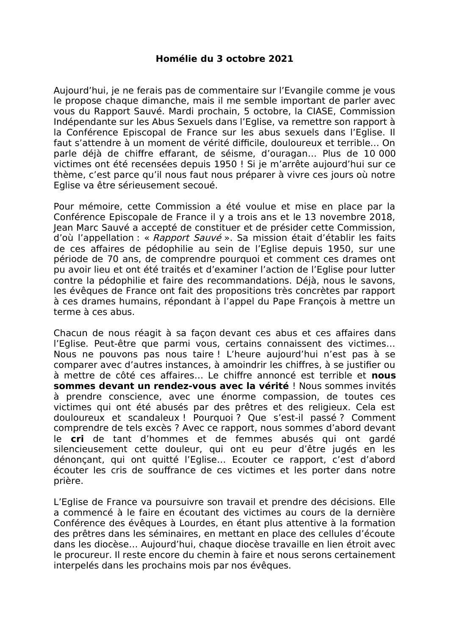## Homélie du 3 octobre 2021

Aujourd'hui, je ne ferais pas de commentaire sur l'Evangile comme je vous le propose chaque dimanche, mais il me semble important de parler avec vous du Rapport Sauvé. Mardi prochain, 5 octobre, la CIASE, Commission Indépendante sur les Abus Sexuels dans l'Eglise, va remettre son rapport à la Conférence Episcopal de France sur les abus sexuels dans l'Eglise. Il faut s'attendre à un moment de vérité difficile, douloureux et terrible... On parle déjà de chiffre effarant, de séisme, d'ouragan... Plus de 10 000 victimes ont été recensées depuis 1950 ! Si je m'arrête aujourd'hui sur ce thème, c'est parce qu'il nous faut nous préparer à vivre ces jours où notre Eglise va être sérieusement secoué.

Pour mémoire, cette Commission a été voulue et mise en place par la Conférence Episcopale de France il y a trois ans et le 13 novembre 2018, Jean Marc Sauvé a accepté de constituer et de présider cette Commission, d'où l'appellation : « Rapport Sauvé ». Sa mission était d'établir les faits de ces affaires de pédophilie au sein de l'Eglise depuis 1950, sur une période de 70 ans, de comprendre pourquoi et comment ces drames ont pu avoir lieu et ont été traités et d'examiner l'action de l'Eglise pour lutter contre la pédophilie et faire des recommandations. Déjà, nous le savons, les évêques de France ont fait des propositions très concrètes par rapport à ces drames humains, répondant à l'appel du Pape François à mettre un terme à ces abus.

Chacun de nous réagit à sa façon devant ces abus et ces affaires dans l'Eglise. Peut-être que parmi vous, certains connaissent des victimes... Nous ne pouvons pas nous taire! L'heure aujourd'hui n'est pas à se comparer avec d'autres instances, à amoindrir les chiffres, à se justifier ou à mettre de côté ces affaires... Le chiffre annoncé est terrible et nous sommes devant un rendez-vous avec la vérité ! Nous sommes invités à prendre conscience, avec une énorme compassion, de toutes ces victimes qui ont été abusés par des prêtres et des religieux. Cela est douloureux et scandaleux ! Pourquoi ? Que s'est-il passé ? Comment comprendre de tels excès ? Avec ce rapport, nous sommes d'abord devant le cri de tant d'hommes et de femmes abusés qui ont gardé silencieusement cette douleur, qui ont eu peur d'être jugés en les dénoncant, qui ont quitté l'Eglise... Ecouter ce rapport, c'est d'abord écouter les cris de souffrance de ces victimes et les porter dans notre prière.

L'Eglise de France va poursuivre son travail et prendre des décisions. Elle a commencé à le faire en écoutant des victimes au cours de la dernière Conférence des évêques à Lourdes, en étant plus attentive à la formation des prêtres dans les séminaires, en mettant en place des cellules d'écoute dans les diocèse... Aujourd'hui, chaque diocèse travaille en lien étroit avec le procureur. Il reste encore du chemin à faire et nous serons certainement interpelés dans les prochains mois par nos évêques.